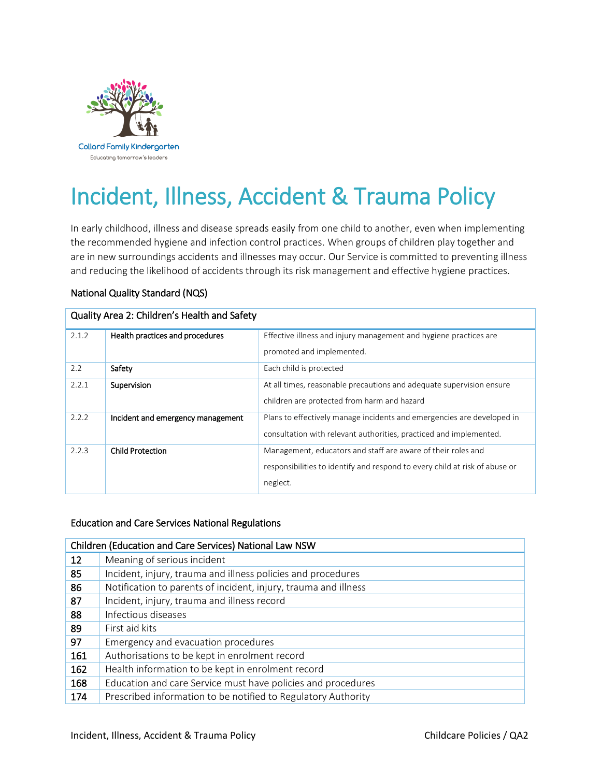

# Incident, Illness, Accident & Trauma Policy

In early childhood, illness and disease spreads easily from one child to another, even when implementing the recommended hygiene and infection control practices. When groups of children play together and are in new surroundings accidents and illnesses may occur. Our Service is committed to preventing illness and reducing the likelihood of accidents through its risk management and effective hygiene practices.

# National Quality Standard (NQS)

| Quality Area 2: Children's Health and Safety |                                   |                                                                             |  |  |
|----------------------------------------------|-----------------------------------|-----------------------------------------------------------------------------|--|--|
| 2.1.2                                        | Health practices and procedures   | Effective illness and injury management and hygiene practices are           |  |  |
|                                              |                                   | promoted and implemented.                                                   |  |  |
| 2.2                                          | Safety                            | Each child is protected                                                     |  |  |
| 2.2.1                                        | Supervision                       | At all times, reasonable precautions and adequate supervision ensure        |  |  |
|                                              |                                   | children are protected from harm and hazard                                 |  |  |
| 2.2.2                                        | Incident and emergency management | Plans to effectively manage incidents and emergencies are developed in      |  |  |
|                                              |                                   | consultation with relevant authorities, practiced and implemented.          |  |  |
| 2.2.3                                        | <b>Child Protection</b>           | Management, educators and staff are aware of their roles and                |  |  |
|                                              |                                   | responsibilities to identify and respond to every child at risk of abuse or |  |  |
|                                              |                                   | neglect.                                                                    |  |  |

## Education and Care Services National Regulations

| Children (Education and Care Services) National Law NSW |                                                                 |  |  |
|---------------------------------------------------------|-----------------------------------------------------------------|--|--|
| $12 \overline{ }$                                       | Meaning of serious incident                                     |  |  |
| 85                                                      | Incident, injury, trauma and illness policies and procedures    |  |  |
| 86                                                      | Notification to parents of incident, injury, trauma and illness |  |  |
| 87                                                      | Incident, injury, trauma and illness record                     |  |  |
| 88                                                      | Infectious diseases                                             |  |  |
| 89                                                      | First aid kits                                                  |  |  |
| 97                                                      | Emergency and evacuation procedures                             |  |  |
| 161                                                     | Authorisations to be kept in enrolment record                   |  |  |
| 162                                                     | Health information to be kept in enrolment record               |  |  |
| 168                                                     | Education and care Service must have policies and procedures    |  |  |
| 174                                                     | Prescribed information to be notified to Regulatory Authority   |  |  |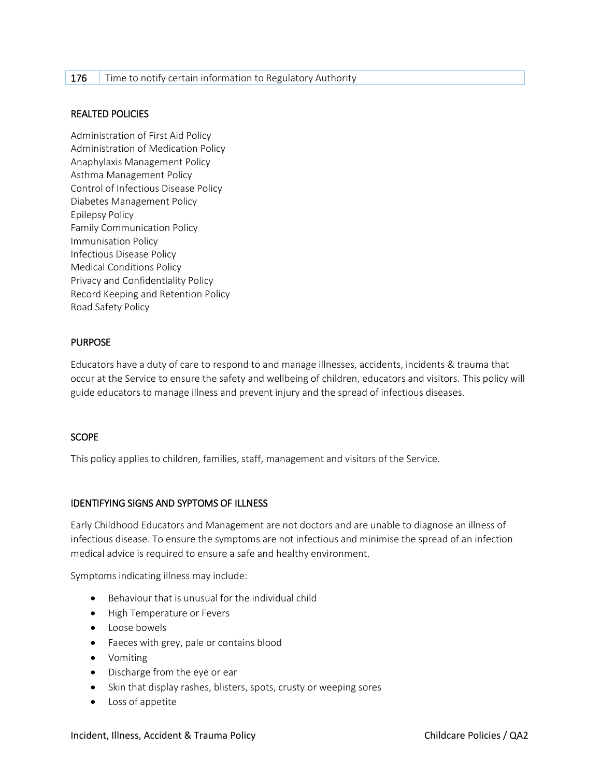## 176 Time to notify certain information to Regulatory Authority

## REALTED POLICIES

Administration of First Aid Policy Administration of Medication Policy Anaphylaxis Management Policy Asthma Management Policy Control of Infectious Disease Policy Diabetes Management Policy Epilepsy Policy Family Communication Policy Immunisation Policy Infectious Disease Policy Medical Conditions Policy Privacy and Confidentiality Policy Record Keeping and Retention Policy Road Safety Policy

# PURPOSE

Educators have a duty of care to respond to and manage illnesses, accidents, incidents & trauma that occur at the Service to ensure the safety and wellbeing of children, educators and visitors. This policy will guide educators to manage illness and prevent injury and the spread of infectious diseases.

## **SCOPE**

This policy applies to children, families, staff, management and visitors of the Service.

## IDENTIFYING SIGNS AND SYPTOMS OF ILLNESS

Early Childhood Educators and Management are not doctors and are unable to diagnose an illness of infectious disease. To ensure the symptoms are not infectious and minimise the spread of an infection medical advice is required to ensure a safe and healthy environment.

Symptoms indicating illness may include:

- Behaviour that is unusual for the individual child
- High Temperature or Fevers
- Loose bowels
- Faeces with grey, pale or contains blood
- Vomiting
- Discharge from the eye or ear
- Skin that display rashes, blisters, spots, crusty or weeping sores
- Loss of appetite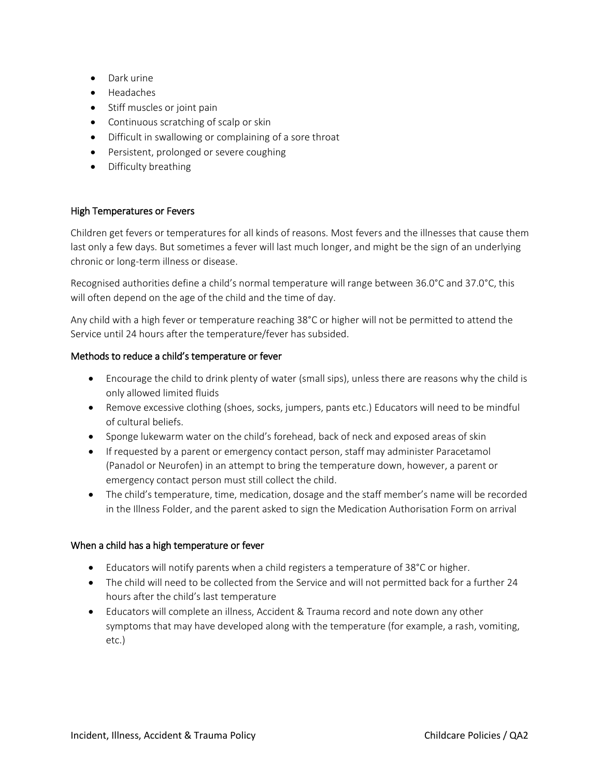- Dark urine
- Headaches
- Stiff muscles or joint pain
- Continuous scratching of scalp or skin
- Difficult in swallowing or complaining of a sore throat
- Persistent, prolonged or severe coughing
- Difficulty breathing

# High Temperatures or Fevers

Children get fevers or temperatures for all kinds of reasons. Most fevers and the illnesses that cause them last only a few days. But sometimes a fever will last much longer, and might be the sign of an underlying chronic or long-term illness or disease.

Recognised authorities define a child's normal temperature will range between 36.0°C and 37.0°C, this will often depend on the age of the child and the time of day.

Any child with a high fever or temperature reaching 38°C or higher will not be permitted to attend the Service until 24 hours after the temperature/fever has subsided.

# Methods to reduce a child's temperature or fever

- Encourage the child to drink plenty of water (small sips), unless there are reasons why the child is only allowed limited fluids
- Remove excessive clothing (shoes, socks, jumpers, pants etc.) Educators will need to be mindful of cultural beliefs.
- Sponge lukewarm water on the child's forehead, back of neck and exposed areas of skin
- If requested by a parent or emergency contact person, staff may administer Paracetamol (Panadol or Neurofen) in an attempt to bring the temperature down, however, a parent or emergency contact person must still collect the child.
- The child's temperature, time, medication, dosage and the staff member's name will be recorded in the Illness Folder, and the parent asked to sign the Medication Authorisation Form on arrival

## When a child has a high temperature or fever

- Educators will notify parents when a child registers a temperature of 38°C or higher.
- The child will need to be collected from the Service and will not permitted back for a further 24 hours after the child's last temperature
- Educators will complete an illness, Accident & Trauma record and note down any other symptoms that may have developed along with the temperature (for example, a rash, vomiting, etc.)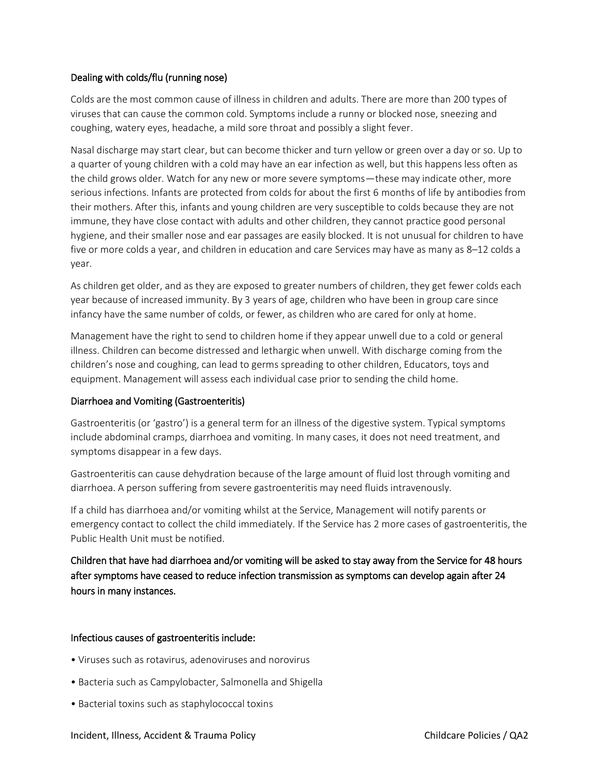# Dealing with colds/flu (running nose)

Colds are the most common cause of illness in children and adults. There are more than 200 types of viruses that can cause the common cold. Symptoms include a runny or blocked nose, sneezing and coughing, watery eyes, headache, a mild sore throat and possibly a slight fever.

Nasal discharge may start clear, but can become thicker and turn yellow or green over a day or so. Up to a quarter of young children with a cold may have an ear infection as well, but this happens less often as the child grows older. Watch for any new or more severe symptoms—these may indicate other, more serious infections. Infants are protected from colds for about the first 6 months of life by antibodies from their mothers. After this, infants and young children are very susceptible to colds because they are not immune, they have close contact with adults and other children, they cannot practice good personal hygiene, and their smaller nose and ear passages are easily blocked. It is not unusual for children to have five or more colds a year, and children in education and care Services may have as many as 8–12 colds a year.

As children get older, and as they are exposed to greater numbers of children, they get fewer colds each year because of increased immunity. By 3 years of age, children who have been in group care since infancy have the same number of colds, or fewer, as children who are cared for only at home.

Management have the right to send to children home if they appear unwell due to a cold or general illness. Children can become distressed and lethargic when unwell. With discharge coming from the children's nose and coughing, can lead to germs spreading to other children, Educators, toys and equipment. Management will assess each individual case prior to sending the child home.

## Diarrhoea and Vomiting (Gastroenteritis)

Gastroenteritis (or 'gastro') is a general term for an illness of the digestive system. Typical symptoms include abdominal cramps, diarrhoea and vomiting. In many cases, it does not need treatment, and symptoms disappear in a few days.

Gastroenteritis can cause dehydration because of the large amount of fluid lost through vomiting and diarrhoea. A person suffering from severe gastroenteritis may need fluids intravenously.

If a child has diarrhoea and/or vomiting whilst at the Service, Management will notify parents or emergency contact to collect the child immediately. If the Service has 2 more cases of gastroenteritis, the Public Health Unit must be notified.

Children that have had diarrhoea and/or vomiting will be asked to stay away from the Service for 48 hours after symptoms have ceased to reduce infection transmission as symptoms can develop again after 24 hours in many instances.

## Infectious causes of gastroenteritis include:

- Viruses such as rotavirus, adenoviruses and norovirus
- Bacteria such as Campylobacter, Salmonella and Shigella
- Bacterial toxins such as staphylococcal toxins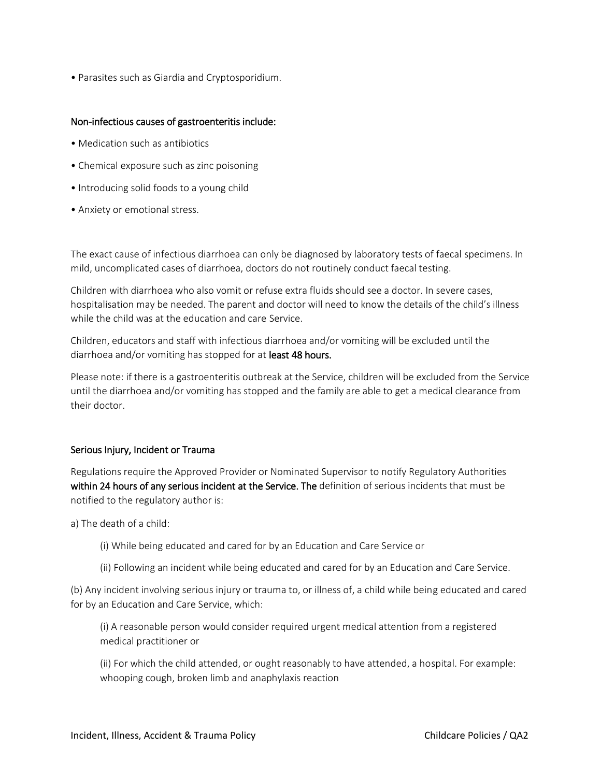• Parasites such as Giardia and Cryptosporidium.

#### Non-infectious causes of gastroenteritis include:

- Medication such as antibiotics
- Chemical exposure such as zinc poisoning
- Introducing solid foods to a young child
- Anxiety or emotional stress.

The exact cause of infectious diarrhoea can only be diagnosed by laboratory tests of faecal specimens. In mild, uncomplicated cases of diarrhoea, doctors do not routinely conduct faecal testing.

Children with diarrhoea who also vomit or refuse extra fluids should see a doctor. In severe cases, hospitalisation may be needed. The parent and doctor will need to know the details of the child's illness while the child was at the education and care Service.

Children, educators and staff with infectious diarrhoea and/or vomiting will be excluded until the diarrhoea and/or vomiting has stopped for at least 48 hours.

Please note: if there is a gastroenteritis outbreak at the Service, children will be excluded from the Service until the diarrhoea and/or vomiting has stopped and the family are able to get a medical clearance from their doctor.

#### Serious Injury, Incident or Trauma

Regulations require the Approved Provider or Nominated Supervisor to notify Regulatory Authorities within 24 hours of any serious incident at the Service. The definition of serious incidents that must be notified to the regulatory author is:

a) The death of a child:

- (i) While being educated and cared for by an Education and Care Service or
- (ii) Following an incident while being educated and cared for by an Education and Care Service.

(b) Any incident involving serious injury or trauma to, or illness of, a child while being educated and cared for by an Education and Care Service, which:

(i) A reasonable person would consider required urgent medical attention from a registered medical practitioner or

(ii) For which the child attended, or ought reasonably to have attended, a hospital. For example: whooping cough, broken limb and anaphylaxis reaction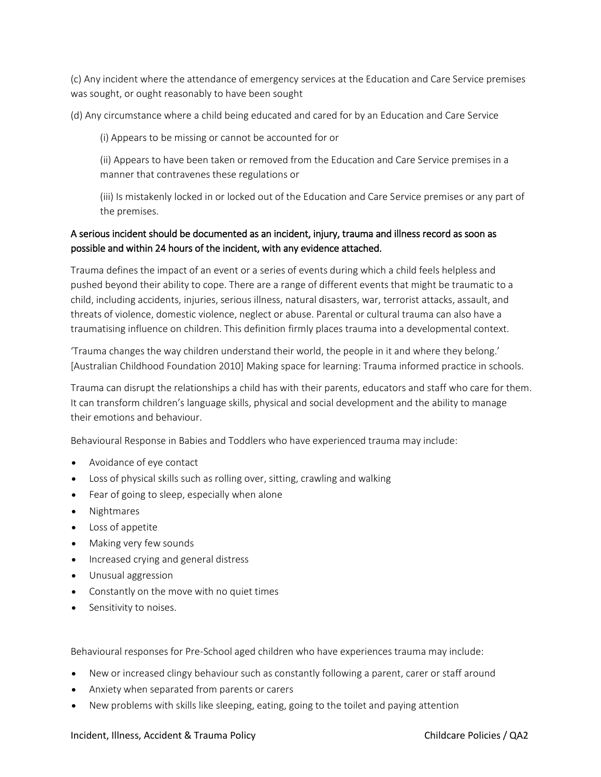(c) Any incident where the attendance of emergency services at the Education and Care Service premises was sought, or ought reasonably to have been sought

(d) Any circumstance where a child being educated and cared for by an Education and Care Service

(i) Appears to be missing or cannot be accounted for or

(ii) Appears to have been taken or removed from the Education and Care Service premises in a manner that contravenes these regulations or

(iii) Is mistakenly locked in or locked out of the Education and Care Service premises or any part of the premises.

# A serious incident should be documented as an incident, injury, trauma and illness record as soon as possible and within 24 hours of the incident, with any evidence attached.

Trauma defines the impact of an event or a series of events during which a child feels helpless and pushed beyond their ability to cope. There are a range of different events that might be traumatic to a child, including accidents, injuries, serious illness, natural disasters, war, terrorist attacks, assault, and threats of violence, domestic violence, neglect or abuse. Parental or cultural trauma can also have a traumatising influence on children. This definition firmly places trauma into a developmental context.

'Trauma changes the way children understand their world, the people in it and where they belong.' [Australian Childhood Foundation 2010] Making space for learning: Trauma informed practice in schools.

Trauma can disrupt the relationships a child has with their parents, educators and staff who care for them. It can transform children's language skills, physical and social development and the ability to manage their emotions and behaviour.

Behavioural Response in Babies and Toddlers who have experienced trauma may include:

- Avoidance of eye contact
- Loss of physical skills such as rolling over, sitting, crawling and walking
- Fear of going to sleep, especially when alone
- Nightmares
- Loss of appetite
- Making very few sounds
- Increased crying and general distress
- Unusual aggression
- Constantly on the move with no quiet times
- Sensitivity to noises.

Behavioural responses for Pre-School aged children who have experiences trauma may include:

- New or increased clingy behaviour such as constantly following a parent, carer or staff around
- Anxiety when separated from parents or carers
- New problems with skills like sleeping, eating, going to the toilet and paying attention

#### Incident, Illness, Accident & Trauma Policy Childcare Policies / QA2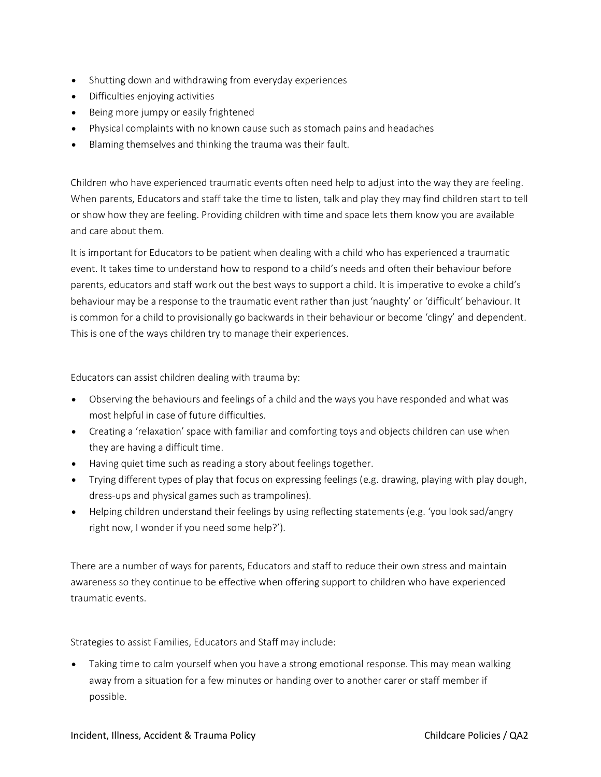- Shutting down and withdrawing from everyday experiences
- Difficulties enjoying activities
- Being more jumpy or easily frightened
- Physical complaints with no known cause such as stomach pains and headaches
- Blaming themselves and thinking the trauma was their fault.

Children who have experienced traumatic events often need help to adjust into the way they are feeling. When parents, Educators and staff take the time to listen, talk and play they may find children start to tell or show how they are feeling. Providing children with time and space lets them know you are available and care about them.

It is important for Educators to be patient when dealing with a child who has experienced a traumatic event. It takes time to understand how to respond to a child's needs and often their behaviour before parents, educators and staff work out the best ways to support a child. It is imperative to evoke a child's behaviour may be a response to the traumatic event rather than just 'naughty' or 'difficult' behaviour. It is common for a child to provisionally go backwards in their behaviour or become 'clingy' and dependent. This is one of the ways children try to manage their experiences.

Educators can assist children dealing with trauma by:

- Observing the behaviours and feelings of a child and the ways you have responded and what was most helpful in case of future difficulties.
- Creating a 'relaxation' space with familiar and comforting toys and objects children can use when they are having a difficult time.
- Having quiet time such as reading a story about feelings together.
- Trying different types of play that focus on expressing feelings (e.g. drawing, playing with play dough, dress-ups and physical games such as trampolines).
- Helping children understand their feelings by using reflecting statements (e.g. 'you look sad/angry right now, I wonder if you need some help?').

There are a number of ways for parents, Educators and staff to reduce their own stress and maintain awareness so they continue to be effective when offering support to children who have experienced traumatic events.

Strategies to assist Families, Educators and Staff may include:

• Taking time to calm yourself when you have a strong emotional response. This may mean walking away from a situation for a few minutes or handing over to another carer or staff member if possible.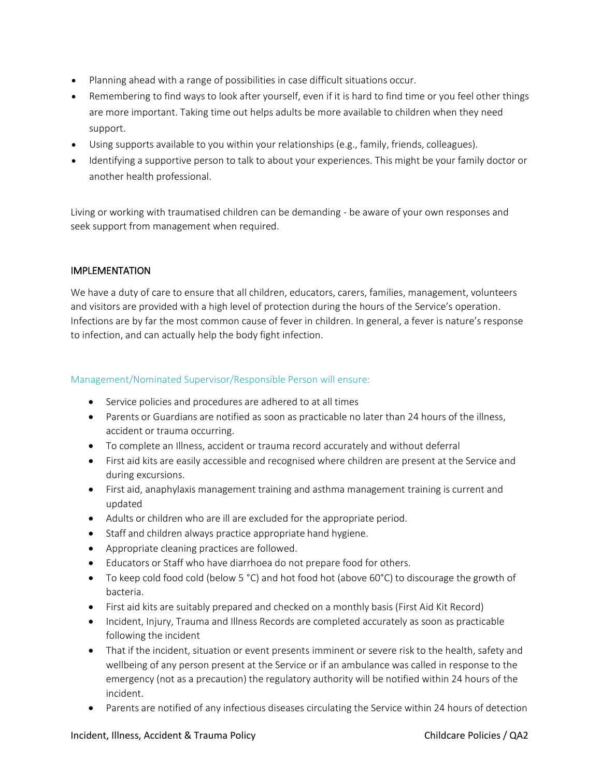- Planning ahead with a range of possibilities in case difficult situations occur.
- Remembering to find ways to look after yourself, even if it is hard to find time or you feel other things are more important. Taking time out helps adults be more available to children when they need support.
- Using supports available to you within your relationships (e.g., family, friends, colleagues).
- Identifying a supportive person to talk to about your experiences. This might be your family doctor or another health professional.

Living or working with traumatised children can be demanding - be aware of your own responses and seek support from management when required.

# IMPLEMENTATION

We have a duty of care to ensure that all children, educators, carers, families, management, volunteers and visitors are provided with a high level of protection during the hours of the Service's operation. Infections are by far the most common cause of fever in children. In general, a fever is nature's response to infection, and can actually help the body fight infection.

#### Management/Nominated Supervisor/Responsible Person will ensure:

- Service policies and procedures are adhered to at all times
- Parents or Guardians are notified as soon as practicable no later than 24 hours of the illness, accident or trauma occurring.
- To complete an Illness, accident or trauma record accurately and without deferral
- First aid kits are easily accessible and recognised where children are present at the Service and during excursions.
- First aid, anaphylaxis management training and asthma management training is current and updated
- Adults or children who are ill are excluded for the appropriate period.
- Staff and children always practice appropriate hand hygiene.
- Appropriate cleaning practices are followed.
- Educators or Staff who have diarrhoea do not prepare food for others.
- To keep cold food cold (below 5 °C) and hot food hot (above 60°C) to discourage the growth of bacteria.
- First aid kits are suitably prepared and checked on a monthly basis (First Aid Kit Record)
- Incident, Injury, Trauma and Illness Records are completed accurately as soon as practicable following the incident
- That if the incident, situation or event presents imminent or severe risk to the health, safety and wellbeing of any person present at the Service or if an ambulance was called in response to the emergency (not as a precaution) the regulatory authority will be notified within 24 hours of the incident.
- Parents are notified of any infectious diseases circulating the Service within 24 hours of detection

#### Incident, Illness, Accident & Trauma Policy Childcare Policies / QA2